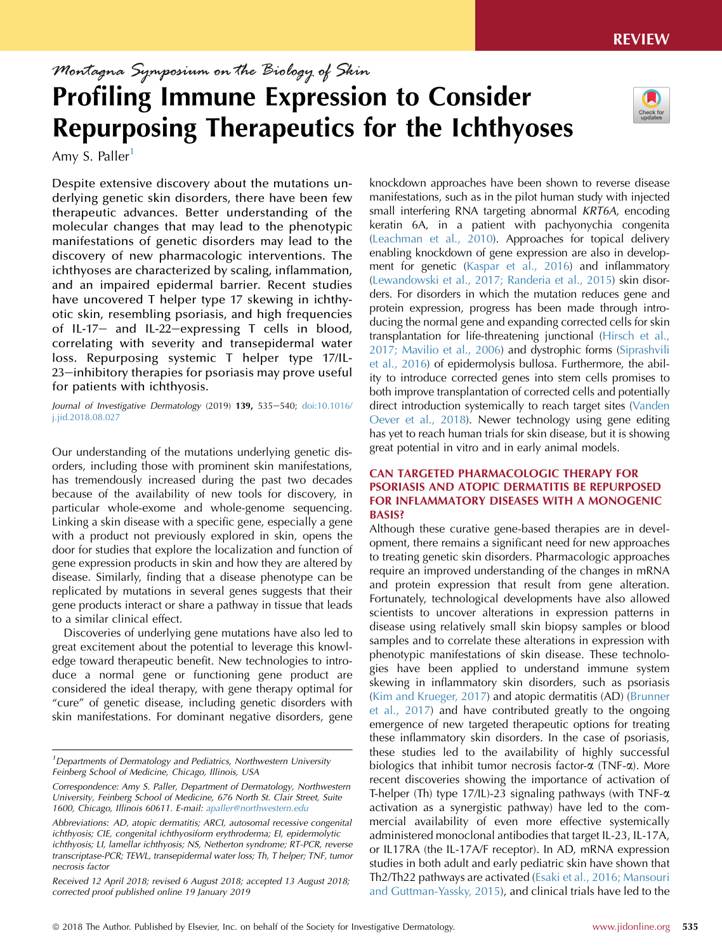# Montagna Symposium on the Biology of Skin Profiling Immune Expression to Consider Repurposing Therapeutics for the Ichthyoses

Amy S. Paller<sup>1</sup>

Despite extensive discovery about the mutations underlying genetic skin disorders, there have been few therapeutic advances. Better understanding of the molecular changes that may lead to the phenotypic manifestations of genetic disorders may lead to the discovery of new pharmacologic interventions. The ichthyoses are characterized by scaling, inflammation, and an impaired epidermal barrier. Recent studies have uncovered T helper type 17 skewing in ichthyotic skin, resembling psoriasis, and high frequencies of IL-17- and IL-22-expressing  $T$  cells in blood, correlating with severity and transepidermal water loss. Repurposing systemic T helper type 17/IL-23-inhibitory therapies for psoriasis may prove useful for patients with ichthyosis.

Journal of Investigative Dermatology (2019) 139, 535-540; [doi:10.1016/](https://doi.org/10.1016/j.jid.2018.08.027) [j.jid.2018.08.027](https://doi.org/10.1016/j.jid.2018.08.027)

Our understanding of the mutations underlying genetic disorders, including those with prominent skin manifestations, has tremendously increased during the past two decades because of the availability of new tools for discovery, in particular whole-exome and whole-genome sequencing. Linking a skin disease with a specific gene, especially a gene with a product not previously explored in skin, opens the door for studies that explore the localization and function of gene expression products in skin and how they are altered by disease. Similarly, finding that a disease phenotype can be replicated by mutations in several genes suggests that their gene products interact or share a pathway in tissue that leads to a similar clinical effect.

Discoveries of underlying gene mutations have also led to great excitement about the potential to leverage this knowledge toward therapeutic benefit. New technologies to introduce a normal gene or functioning gene product are considered the ideal therapy, with gene therapy optimal for "cure" of genetic disease, including genetic disorders with skin manifestations. For dominant negative disorders, gene knockdown approaches have been shown to reverse disease manifestations, such as in the pilot human study with injected small interfering RNA targeting abnormal KRT6A, encoding keratin 6A, in a patient with pachyonychia congenita ([Leachman et al., 2010](#page-5-0)). Approaches for topical delivery enabling knockdown of gene expression are also in development for genetic [\(Kaspar et al., 2016\)](#page-5-0) and inflammatory ([Lewandowski et al., 2017; Randeria et al., 2015\)](#page-5-0) skin disorders. For disorders in which the mutation reduces gene and protein expression, progress has been made through introducing the normal gene and expanding corrected cells for skin transplantation for life-threatening junctional ([Hirsch et al.,](#page-5-0) [2017; Mavilio et al., 2006\)](#page-5-0) and dystrophic forms [\(Siprashvili](#page-5-0) [et al., 2016](#page-5-0)) of epidermolysis bullosa. Furthermore, the ability to introduce corrected genes into stem cells promises to both improve transplantation of corrected cells and potentially direct introduction systemically to reach target sites [\(Vanden](#page-5-0) [Oever et al., 2018](#page-5-0)). Newer technology using gene editing has yet to reach human trials for skin disease, but it is showing great potential in vitro and in early animal models.

## CAN TARGETED PHARMACOLOGIC THERAPY FOR PSORIASIS AND ATOPIC DERMATITIS BE REPURPOSED FOR INFLAMMATORY DISEASES WITH A MONOGENIC BASIS?

Although these curative gene-based therapies are in development, there remains a significant need for new approaches to treating genetic skin disorders. Pharmacologic approaches require an improved understanding of the changes in mRNA and protein expression that result from gene alteration. Fortunately, technological developments have also allowed scientists to uncover alterations in expression patterns in disease using relatively small skin biopsy samples or blood samples and to correlate these alterations in expression with phenotypic manifestations of skin disease. These technologies have been applied to understand immune system skewing in inflammatory skin disorders, such as psoriasis ([Kim and Krueger, 2017](#page-5-0)) and atopic dermatitis (AD) ([Brunner](#page-4-0) [et al., 2017](#page-4-0)) and have contributed greatly to the ongoing emergence of new targeted therapeutic options for treating these inflammatory skin disorders. In the case of psoriasis, these studies led to the availability of highly successful biologics that inhibit tumor necrosis factor- $\alpha$  (TNF- $\alpha$ ). More recent discoveries showing the importance of activation of T-helper (Th) type 17/IL)-23 signaling pathways (with TNF-a activation as a synergistic pathway) have led to the commercial availability of even more effective systemically administered monoclonal antibodies that target IL-23, IL-17A, or IL17RA (the IL-17A/F receptor). In AD, mRNA expression studies in both adult and early pediatric skin have shown that Th2/Th22 pathways are activated [\(Esaki et al., 2016; Mansouri](#page-5-0) [and Guttman-Yassky, 2015\)](#page-5-0), and clinical trials have led to the



<sup>&</sup>lt;sup>1</sup>Departments of Dermatology and Pediatrics, Northwestern University Feinberg School of Medicine, Chicago, Illinois, USA

Correspondence: Amy S. Paller, Department of Dermatology, Northwestern University, Feinberg School of Medicine, 676 North St. Clair Street, Suite 1600, Chicago, Illinois 60611. E-mail: [apaller@northwestern.edu](mailto:apaller@northwestern.edu)

Abbreviations: AD, atopic dermatitis; ARCI, autosomal recessive congenital ichthyosis; CIE, congenital ichthyosiform erythroderma; EI, epidermolytic ichthyosis; LI, lamellar ichthyosis; NS, Netherton syndrome; RT-PCR, reverse transcriptase-PCR; TEWL, transepidermal water loss; Th, T helper; TNF, tumor necrosis factor

Received 12 April 2018; revised 6 August 2018; accepted 13 August 2018; corrected proof published online 19 January 2019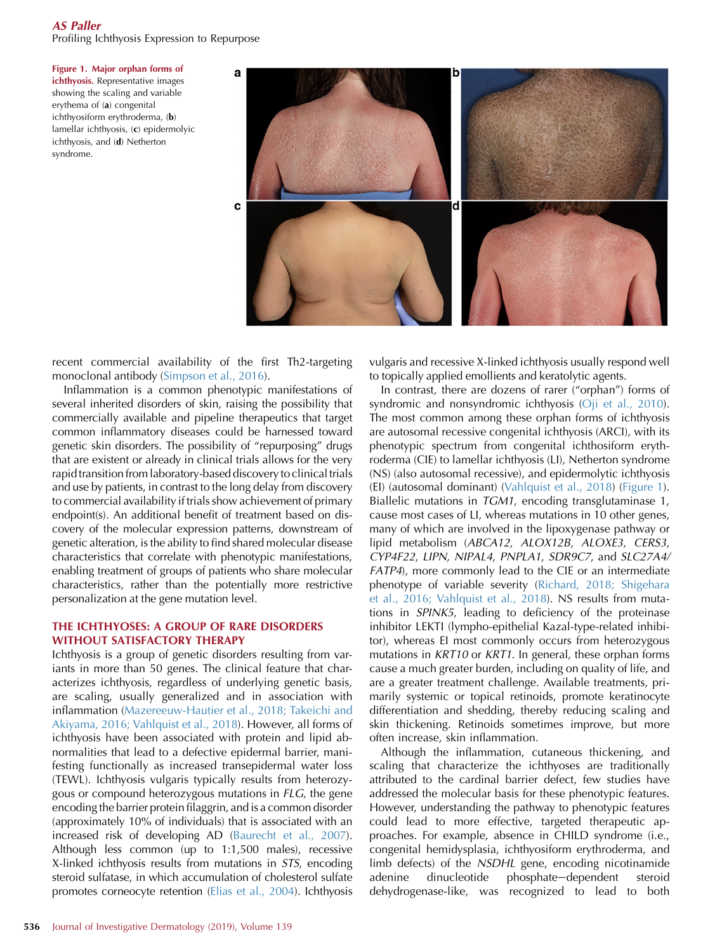## AS Paller

Profiling Ichthyosis Expression to Repurpose

Figure 1. Major orphan forms of ichthyosis. Representative images showing the scaling and variable erythema of (a) congenital ichthyosiform erythroderma, (b) lamellar ichthyosis, (c) epidermolyic ichthyosis, and (d) Netherton syndrome.



recent commercial availability of the first Th2-targeting monoclonal antibody ([Simpson et al., 2016](#page-5-0)).

Inflammation is a common phenotypic manifestations of several inherited disorders of skin, raising the possibility that commercially available and pipeline therapeutics that target common inflammatory diseases could be harnessed toward genetic skin disorders. The possibility of "repurposing" drugs that are existent or already in clinical trials allows for the very rapid transition from laboratory-based discovery to clinical trials and use by patients, in contrast to the long delay from discovery to commercial availability if trials show achievement of primary endpoint(s). An additional benefit of treatment based on discovery of the molecular expression patterns, downstream of genetic alteration, is the ability to find shared molecular disease characteristics that correlate with phenotypic manifestations, enabling treatment of groups of patients who share molecular characteristics, rather than the potentially more restrictive personalization at the gene mutation level.

### THE ICHTHYOSES: A GROUP OF RARE DISORDERS WITHOUT SATISFACTORY THERAPY

Ichthyosis is a group of genetic disorders resulting from variants in more than 50 genes. The clinical feature that characterizes ichthyosis, regardless of underlying genetic basis, are scaling, usually generalized and in association with inflammation [\(Mazereeuw-Hautier et al., 2018; Takeichi and](#page-5-0) [Akiyama, 2016; Vahlquist et al., 2018](#page-5-0)). However, all forms of ichthyosis have been associated with protein and lipid abnormalities that lead to a defective epidermal barrier, manifesting functionally as increased transepidermal water loss (TEWL). Ichthyosis vulgaris typically results from heterozygous or compound heterozygous mutations in FLG, the gene encoding the barrier protein filaggrin, and is a common disorder (approximately 10% of individuals) that is associated with an increased risk of developing AD ([Baurecht et al., 2007\)](#page-4-0). Although less common (up to 1:1,500 males), recessive X-linked ichthyosis results from mutations in STS, encoding steroid sulfatase, in which accumulation of cholesterol sulfate promotes corneocyte retention [\(Elias et al., 2004](#page-5-0)). Ichthyosis

vulgaris and recessive X-linked ichthyosis usually respond well to topically applied emollients and keratolytic agents.

In contrast, there are dozens of rarer ("orphan") forms of syndromic and nonsyndromic ichthyosis ([Oji et al., 2010\)](#page-5-0). The most common among these orphan forms of ichthyosis are autosomal recessive congenital ichthyosis (ARCI), with its phenotypic spectrum from congenital ichthosiform erythroderma (CIE) to lamellar ichthyosis (LI), Netherton syndrome (NS) (also autosomal recessive), and epidermolytic ichthyosis (EI) (autosomal dominant) [\(Vahlquist et al., 2018\)](#page-5-0) (Figure 1). Biallelic mutations in TGM1, encoding transglutaminase 1, cause most cases of LI, whereas mutations in 10 other genes, many of which are involved in the lipoxygenase pathway or lipid metabolism (ABCA12, ALOX12B, ALOXE3, CERS3, CYP4F22, LIPN, NIPAL4, PNPLA1, SDR9C7, and SLC27A4/ FATP4), more commonly lead to the CIE or an intermediate phenotype of variable severity ([Richard, 2018; Shigehara](#page-5-0) [et al., 2016; Vahlquist et al., 2018\)](#page-5-0). NS results from mutations in SPINK5, leading to deficiency of the proteinase inhibitor LEKTI (lympho-epithelial Kazal-type-related inhibitor), whereas EI most commonly occurs from heterozygous mutations in KRT10 or KRT1. In general, these orphan forms cause a much greater burden, including on quality of life, and are a greater treatment challenge. Available treatments, primarily systemic or topical retinoids, promote keratinocyte differentiation and shedding, thereby reducing scaling and skin thickening. Retinoids sometimes improve, but more often increase, skin inflammation.

Although the inflammation, cutaneous thickening, and scaling that characterize the ichthyoses are traditionally attributed to the cardinal barrier defect, few studies have addressed the molecular basis for these phenotypic features. However, understanding the pathway to phenotypic features could lead to more effective, targeted therapeutic approaches. For example, absence in CHILD syndrome (i.e., congenital hemidysplasia, ichthyosiform erythroderma, and limb defects) of the NSDHL gene, encoding nicotinamide adenine dinucleotide phosphate-dependent steroid dehydrogenase-like, was recognized to lead to both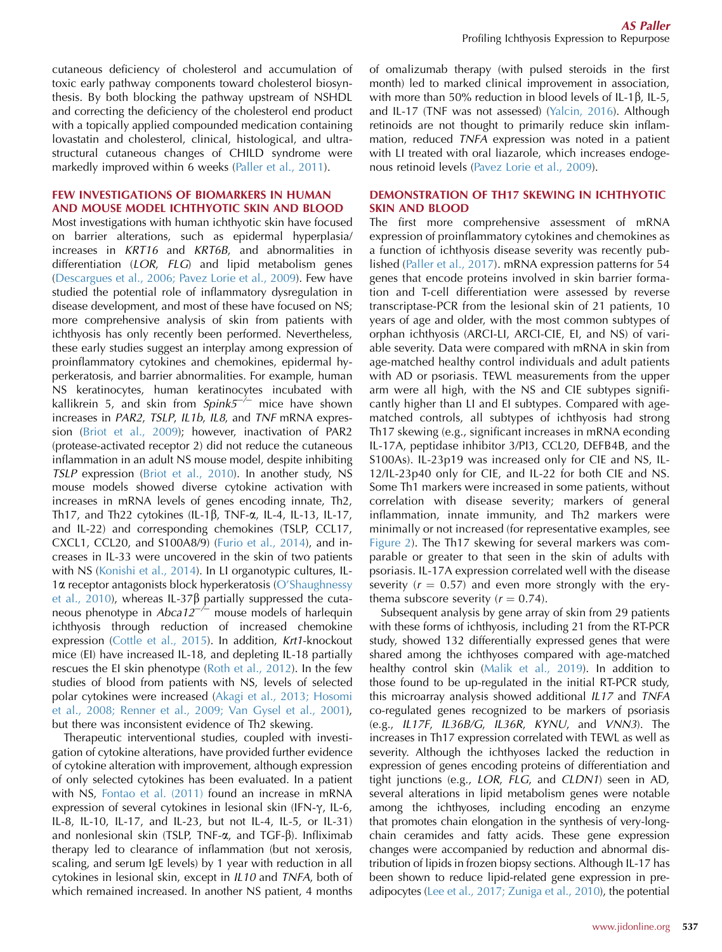cutaneous deficiency of cholesterol and accumulation of toxic early pathway components toward cholesterol biosynthesis. By both blocking the pathway upstream of NSHDL and correcting the deficiency of the cholesterol end product with a topically applied compounded medication containing lovastatin and cholesterol, clinical, histological, and ultrastructural cutaneous changes of CHILD syndrome were markedly improved within 6 weeks ([Paller et al., 2011\)](#page-5-0).

## FEW INVESTIGATIONS OF BIOMARKERS IN HUMAN AND MOUSE MODEL ICHTHYOTIC SKIN AND BLOOD

Most investigations with human ichthyotic skin have focused on barrier alterations, such as epidermal hyperplasia/ increases in KRT16 and KRT6B, and abnormalities in differentiation (LOR, FLG) and lipid metabolism genes ([Descargues et al., 2006; Pavez Lorie et al., 2009](#page-4-0)). Few have studied the potential role of inflammatory dysregulation in disease development, and most of these have focused on NS; more comprehensive analysis of skin from patients with ichthyosis has only recently been performed. Nevertheless, these early studies suggest an interplay among expression of proinflammatory cytokines and chemokines, epidermal hyperkeratosis, and barrier abnormalities. For example, human NS keratinocytes, human keratinocytes incubated with kallikrein 5, and skin from  $Spink5^{-/-}$  mice have shown increases in PAR2, TSLP, IL1b, IL8, and TNF mRNA expression [\(Briot et al., 2009](#page-4-0)); however, inactivation of PAR2 (protease-activated receptor 2) did not reduce the cutaneous inflammation in an adult NS mouse model, despite inhibiting TSLP expression ([Briot et al., 2010](#page-4-0)). In another study, NS mouse models showed diverse cytokine activation with increases in mRNA levels of genes encoding innate, Th2, Th17, and Th22 cytokines (IL-1 $\beta$ , TNF- $\alpha$ , IL-4, IL-13, IL-17, and IL-22) and corresponding chemokines (TSLP, CCL17, CXCL1, CCL20, and S100A8/9) ([Furio et al., 2014](#page-5-0)), and increases in IL-33 were uncovered in the skin of two patients with NS [\(Konishi et al., 2014](#page-5-0)). In LI organotypic cultures, IL-<sup>1</sup>a receptor antagonists block hyperkeratosis ([O'Shaughnessy](#page-5-0) [et al., 2010\)](#page-5-0), whereas IL-37 $\beta$  partially suppressed the cutaneous phenotype in  $Abca12^{-/-}$  mouse models of harlequin ichthyosis through reduction of increased chemokine expression ([Cottle et al., 2015](#page-4-0)). In addition, Krt1-knockout mice (EI) have increased IL-18, and depleting IL-18 partially rescues the EI skin phenotype [\(Roth et al., 2012\)](#page-5-0). In the few studies of blood from patients with NS, levels of selected polar cytokines were increased [\(Akagi et al., 2013; Hosomi](#page-4-0) [et al., 2008; Renner et al., 2009; Van Gysel et al., 2001\)](#page-4-0), but there was inconsistent evidence of Th2 skewing.

Therapeutic interventional studies, coupled with investigation of cytokine alterations, have provided further evidence of cytokine alteration with improvement, although expression of only selected cytokines has been evaluated. In a patient with NS, [Fontao et al. \(2011\)](#page-5-0) found an increase in mRNA expression of several cytokines in lesional skin (IFN- $\gamma$ , IL-6, IL-8, IL-10, IL-17, and IL-23, but not IL-4, IL-5, or IL-31) and nonlesional skin (TSLP, TNF- $\alpha$ , and TGF- $\beta$ ). Infliximab therapy led to clearance of inflammation (but not xerosis, scaling, and serum IgE levels) by 1 year with reduction in all cytokines in lesional skin, except in IL10 and TNFA, both of which remained increased. In another NS patient, 4 months of omalizumab therapy (with pulsed steroids in the first month) led to marked clinical improvement in association, with more than 50% reduction in blood levels of IL-1 $\beta$ , IL-5, and IL-17 (TNF was not assessed) [\(Yalcin, 2016](#page-5-0)). Although retinoids are not thought to primarily reduce skin inflammation, reduced TNFA expression was noted in a patient with LI treated with oral liazarole, which increases endogenous retinoid levels ([Pavez Lorie et al., 2009\)](#page-5-0).

### DEMONSTRATION OF TH17 SKEWING IN ICHTHYOTIC SKIN AND BLOOD

The first more comprehensive assessment of mRNA expression of proinflammatory cytokines and chemokines as a function of ichthyosis disease severity was recently published ([Paller et al., 2017](#page-5-0)). mRNA expression patterns for 54 genes that encode proteins involved in skin barrier formation and T-cell differentiation were assessed by reverse transcriptase-PCR from the lesional skin of 21 patients, 10 years of age and older, with the most common subtypes of orphan ichthyosis (ARCI-LI, ARCI-CIE, EI, and NS) of variable severity. Data were compared with mRNA in skin from age-matched healthy control individuals and adult patients with AD or psoriasis. TEWL measurements from the upper arm were all high, with the NS and CIE subtypes significantly higher than LI and EI subtypes. Compared with agematched controls, all subtypes of ichthyosis had strong Th17 skewing (e.g., significant increases in mRNA econding IL-17A, peptidase inhibitor 3/PI3, CCL20, DEFB4B, and the S100As). IL-23p19 was increased only for CIE and NS, IL-12/IL-23p40 only for CIE, and IL-22 for both CIE and NS. Some Th1 markers were increased in some patients, without correlation with disease severity; markers of general inflammation, innate immunity, and Th2 markers were minimally or not increased (for representative examples, see [Figure 2](#page-3-0)). The Th17 skewing for several markers was comparable or greater to that seen in the skin of adults with psoriasis. IL-17A expression correlated well with the disease severity ( $r = 0.57$ ) and even more strongly with the erythema subscore severity  $(r = 0.74)$ .

Subsequent analysis by gene array of skin from 29 patients with these forms of ichthyosis, including 21 from the RT-PCR study, showed 132 differentially expressed genes that were shared among the ichthyoses compared with age-matched healthy control skin [\(Malik et al., 2019](#page-5-0)). In addition to those found to be up-regulated in the initial RT-PCR study, this microarray analysis showed additional IL17 and TNFA co-regulated genes recognized to be markers of psoriasis (e.g., IL17F, IL36B/G, IL36R, KYNU, and VNN3). The increases in Th17 expression correlated with TEWL as well as severity. Although the ichthyoses lacked the reduction in expression of genes encoding proteins of differentiation and tight junctions (e.g., LOR, FLG, and CLDN1) seen in AD, several alterations in lipid metabolism genes were notable among the ichthyoses, including encoding an enzyme that promotes chain elongation in the synthesis of very-longchain ceramides and fatty acids. These gene expression changes were accompanied by reduction and abnormal distribution of lipids in frozen biopsy sections. Although IL-17 has been shown to reduce lipid-related gene expression in preadipocytes [\(Lee et al., 2017; Zuniga et al., 2010](#page-5-0)), the potential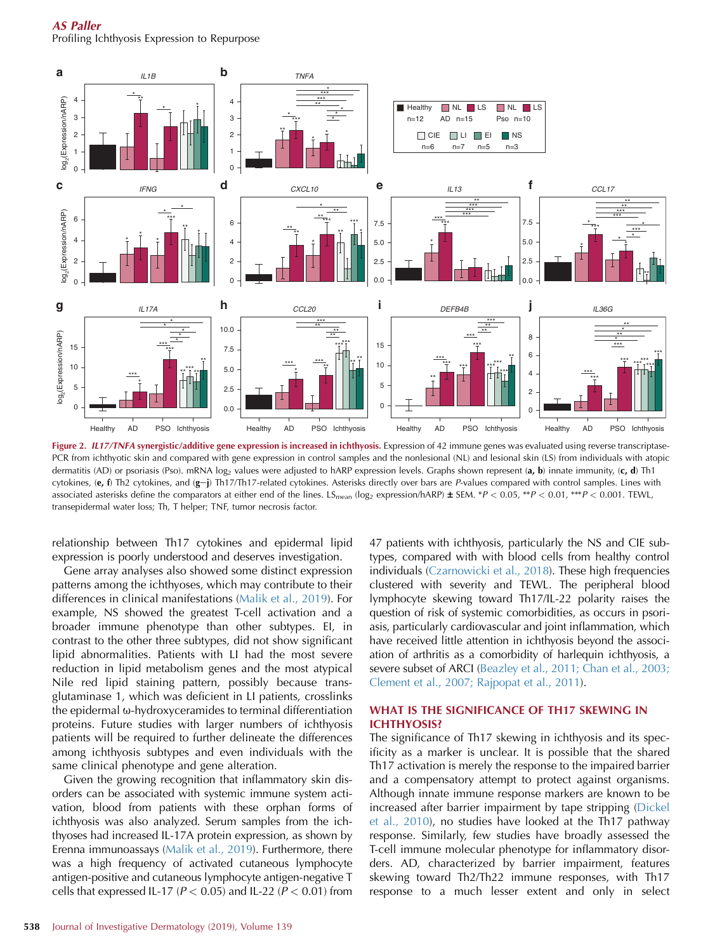<span id="page-3-0"></span>AS Paller Profiling Ichthyosis Expression to Repurpose



Figure 2. IL17/TNFA synergistic/additive gene expression is increased in ichthyosis. Expression of 42 immune genes was evaluated using reverse transcriptase-PCR from ichthyotic skin and compared with gene expression in control samples and the nonlesional (NL) and lesional skin (LS) from individuals with atopic dermatitis (AD) or psoriasis (Pso). mRNA log<sub>2</sub> values were adjusted to hARP expression levels. Graphs shown represent (a, b) innate immunity, (c, d) Th1 cytokines, (e, f) Th2 cytokines, and (g-j) Th17/Th17-related cytokines. Asterisks directly over bars are P-values compared with control samples. Lines with associated asterisks define the comparators at either end of the lines. LS<sub>mean</sub> (log<sub>2</sub> expression/hARP)  $\pm$  SEM. \*P < 0.05, \*\*P < 0.01, \*\*\*P < 0.001. TEWL, transepidermal water loss; Th, T helper; TNF, tumor necrosis factor.

relationship between Th17 cytokines and epidermal lipid expression is poorly understood and deserves investigation.

Gene array analyses also showed some distinct expression patterns among the ichthyoses, which may contribute to their differences in clinical manifestations ([Malik et al., 2019](#page-5-0)). For example, NS showed the greatest T-cell activation and a broader immune phenotype than other subtypes. EI, in contrast to the other three subtypes, did not show significant lipid abnormalities. Patients with LI had the most severe reduction in lipid metabolism genes and the most atypical Nile red lipid staining pattern, possibly because transglutaminase 1, which was deficient in LI patients, crosslinks the epidermal  $\omega$ -hydroxyceramides to terminal differentiation proteins. Future studies with larger numbers of ichthyosis patients will be required to further delineate the differences among ichthyosis subtypes and even individuals with the same clinical phenotype and gene alteration.

Given the growing recognition that inflammatory skin disorders can be associated with systemic immune system activation, blood from patients with these orphan forms of ichthyosis was also analyzed. Serum samples from the ichthyoses had increased IL-17A protein expression, as shown by Erenna immunoassays [\(Malik et al., 2019\)](#page-5-0). Furthermore, there was a high frequency of activated cutaneous lymphocyte antigen-positive and cutaneous lymphocyte antigen-negative T cells that expressed IL-17 ( $P < 0.05$ ) and IL-22 ( $P < 0.01$ ) from 47 patients with ichthyosis, particularly the NS and CIE subtypes, compared with with blood cells from healthy control individuals ([Czarnowicki et al., 2018\)](#page-4-0). These high frequencies clustered with severity and TEWL. The peripheral blood lymphocyte skewing toward Th17/IL-22 polarity raises the question of risk of systemic comorbidities, as occurs in psoriasis, particularly cardiovascular and joint inflammation, which have received little attention in ichthyosis beyond the association of arthritis as a comorbidity of harlequin ichthyosis, a severe subset of ARCI [\(Beazley et al., 2011; Chan et al., 2003;](#page-4-0) [Clement et al., 2007; Rajpopat et al., 2011](#page-4-0)).

### WHAT IS THE SIGNIFICANCE OF TH17 SKEWING IN ICHTHYOSIS?

The significance of Th17 skewing in ichthyosis and its specificity as a marker is unclear. It is possible that the shared Th17 activation is merely the response to the impaired barrier and a compensatory attempt to protect against organisms. Although innate immune response markers are known to be increased after barrier impairment by tape stripping [\(Dickel](#page-5-0) [et al., 2010](#page-5-0)), no studies have looked at the Th17 pathway response. Similarly, few studies have broadly assessed the T-cell immune molecular phenotype for inflammatory disorders. AD, characterized by barrier impairment, features skewing toward Th2/Th22 immune responses, with Th17 response to a much lesser extent and only in select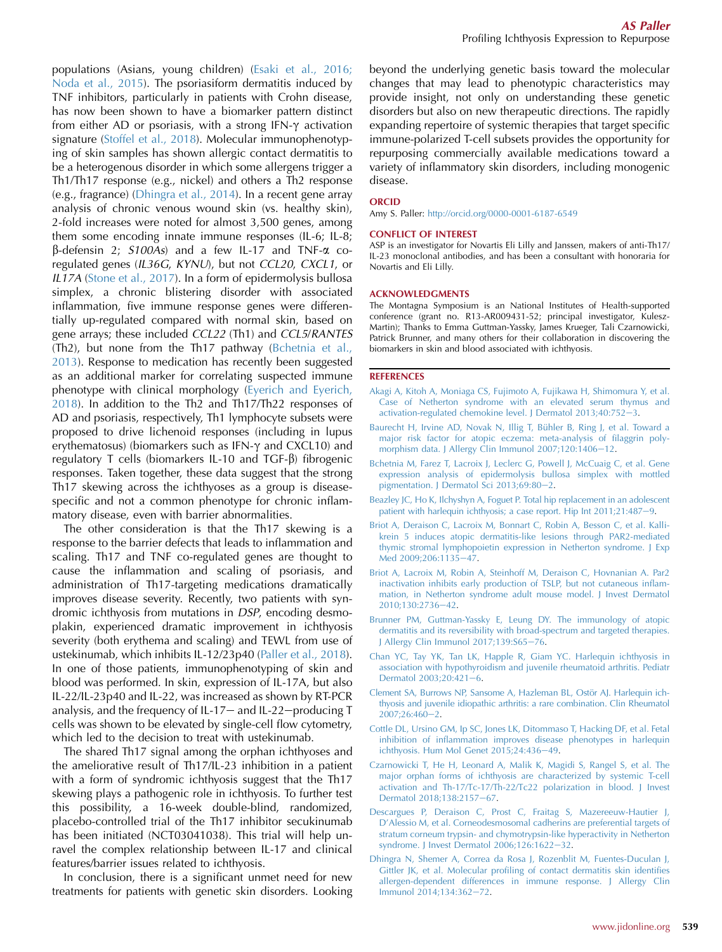<span id="page-4-0"></span>populations (Asians, young children) ([Esaki et al., 2016;](#page-5-0) [Noda et al., 2015\)](#page-5-0). The psoriasiform dermatitis induced by TNF inhibitors, particularly in patients with Crohn disease, has now been shown to have a biomarker pattern distinct from either AD or psoriasis, with a strong IFN- $\gamma$  activation signature [\(Stoffel et al., 2018](#page-5-0)). Molecular immunophenotyping of skin samples has shown allergic contact dermatitis to be a heterogenous disorder in which some allergens trigger a Th1/Th17 response (e.g., nickel) and others a Th2 response (e.g., fragrance) (Dhingra et al., 2014). In a recent gene array analysis of chronic venous wound skin (vs. healthy skin), 2-fold increases were noted for almost 3,500 genes, among them some encoding innate immune responses (IL-6; IL-8;  $\beta$ -defensin 2; S100As) and a few IL-17 and TNF- $\alpha$  coregulated genes (IL36G, KYNU), but not CCL20, CXCL1, or IL17A [\(Stone et al., 2017\)](#page-5-0). In a form of epidermolysis bullosa simplex, a chronic blistering disorder with associated inflammation, five immune response genes were differentially up-regulated compared with normal skin, based on gene arrays; these included CCL22 (Th1) and CCL5/RANTES (Th2), but none from the Th17 pathway (Bchetnia et al., 2013). Response to medication has recently been suggested as an additional marker for correlating suspected immune phenotype with clinical morphology ([Eyerich and Eyerich,](#page-5-0) [2018\)](#page-5-0). In addition to the Th2 and Th17/Th22 responses of AD and psoriasis, respectively, Th1 lymphocyte subsets were proposed to drive lichenoid responses (including in lupus erythematosus) (biomarkers such as IFN- $\gamma$  and CXCL10) and regulatory T cells (biomarkers IL-10 and  $TGF- $\beta$$ ) fibrogenic responses. Taken together, these data suggest that the strong Th17 skewing across the ichthyoses as a group is diseasespecific and not a common phenotype for chronic inflammatory disease, even with barrier abnormalities.

The other consideration is that the Th17 skewing is a response to the barrier defects that leads to inflammation and scaling. Th17 and TNF co-regulated genes are thought to cause the inflammation and scaling of psoriasis, and administration of Th17-targeting medications dramatically improves disease severity. Recently, two patients with syndromic ichthyosis from mutations in DSP, encoding desmoplakin, experienced dramatic improvement in ichthyosis severity (both erythema and scaling) and TEWL from use of ustekinumab, which inhibits IL-12/23p40 [\(Paller et al., 2018\)](#page-5-0). In one of those patients, immunophenotyping of skin and blood was performed. In skin, expression of IL-17A, but also IL-22/IL-23p40 and IL-22, was increased as shown by RT-PCR analysis, and the frequency of IL-17- and IL-22-producing  $T$ cells was shown to be elevated by single-cell flow cytometry, which led to the decision to treat with ustekinumab.

The shared Th17 signal among the orphan ichthyoses and the ameliorative result of Th17/IL-23 inhibition in a patient with a form of syndromic ichthyosis suggest that the Th17 skewing plays a pathogenic role in ichthyosis. To further test this possibility, a 16-week double-blind, randomized, placebo-controlled trial of the Th17 inhibitor secukinumab has been initiated (NCT03041038). This trial will help unravel the complex relationship between IL-17 and clinical features/barrier issues related to ichthyosis.

In conclusion, there is a significant unmet need for new treatments for patients with genetic skin disorders. Looking beyond the underlying genetic basis toward the molecular changes that may lead to phenotypic characteristics may provide insight, not only on understanding these genetic disorders but also on new therapeutic directions. The rapidly expanding repertoire of systemic therapies that target specific immune-polarized T-cell subsets provides the opportunity for repurposing commercially available medications toward a variety of inflammatory skin disorders, including monogenic disease.

# **ORCID**

Amy S. Paller: <http://orcid.org/0000-0001-6187-6549>

#### CONFLICT OF INTEREST

ASP is an investigator for Novartis Eli Lilly and Janssen, makers of anti-Th17/ IL-23 monoclonal antibodies, and has been a consultant with honoraria for Novartis and Eli Lilly.

#### ACKNOWLEDGMENTS

The Montagna Symposium is an National Institutes of Health-supported conference (grant no. R13-AR009431-52; principal investigator, Kulesz-Martin); Thanks to Emma Guttman-Yassky, James Krueger, Tali Czarnowicki, Patrick Brunner, and many others for their collaboration in discovering the biomarkers in skin and blood associated with ichthyosis.

#### **REFERENCES**

- [Akagi A, Kitoh A, Moniaga CS, Fujimoto A, Fujikawa H, Shimomura Y, et al.](http://refhub.elsevier.com/S0022-202X(18)32675-7/sref1) [Case of Netherton syndrome with an elevated serum thymus and](http://refhub.elsevier.com/S0022-202X(18)32675-7/sref1) activation-regulated chemokine level. J Dermatol  $2013;40:752-3$ .
- Baurecht H, Irvine AD, Novak N, Illig T, Bühler B, Ring J, et al. Toward a [major risk factor for atopic eczema: meta-analysis of filaggrin poly](http://refhub.elsevier.com/S0022-202X(18)32675-7/sref2)[morphism data. J Allergy Clin Immunol 2007;120:1406](http://refhub.elsevier.com/S0022-202X(18)32675-7/sref2)-[12.](http://refhub.elsevier.com/S0022-202X(18)32675-7/sref2)
- [Bchetnia M, Farez T, Lacroix J, Leclerc G, Powell J, McCuaig C, et al. Gene](http://refhub.elsevier.com/S0022-202X(18)32675-7/sref3) [expression analysis of epidermolysis bullosa simplex with mottled](http://refhub.elsevier.com/S0022-202X(18)32675-7/sref3) [pigmentation. J Dermatol Sci 2013;69:80](http://refhub.elsevier.com/S0022-202X(18)32675-7/sref3)-[2](http://refhub.elsevier.com/S0022-202X(18)32675-7/sref3).
- [Beazley JC, Ho K, Ilchyshyn A, Foguet P. Total hip replacement in an adolescent](http://refhub.elsevier.com/S0022-202X(18)32675-7/sref4) [patient with harlequin ichthyosis; a case report. Hip Int 2011;21:487](http://refhub.elsevier.com/S0022-202X(18)32675-7/sref4)-[9](http://refhub.elsevier.com/S0022-202X(18)32675-7/sref4).
- [Briot A, Deraison C, Lacroix M, Bonnart C, Robin A, Besson C, et al. Kalli](http://refhub.elsevier.com/S0022-202X(18)32675-7/sref5)[krein 5 induces atopic dermatitis-like lesions through PAR2-mediated](http://refhub.elsevier.com/S0022-202X(18)32675-7/sref5) [thymic stromal lymphopoietin expression in Netherton syndrome. J Exp](http://refhub.elsevier.com/S0022-202X(18)32675-7/sref5) [Med 2009;206:1135](http://refhub.elsevier.com/S0022-202X(18)32675-7/sref5)-[47](http://refhub.elsevier.com/S0022-202X(18)32675-7/sref5).
- [Briot A, Lacroix M, Robin A, Steinhoff M, Deraison C, Hovnanian A. Par2](http://refhub.elsevier.com/S0022-202X(18)32675-7/sref6) [inactivation inhibits early production of TSLP, but not cutaneous inflam](http://refhub.elsevier.com/S0022-202X(18)32675-7/sref6)[mation, in Netherton syndrome adult mouse model. J Invest Dermatol](http://refhub.elsevier.com/S0022-202X(18)32675-7/sref6) [2010;130:2736](http://refhub.elsevier.com/S0022-202X(18)32675-7/sref6)-[42](http://refhub.elsevier.com/S0022-202X(18)32675-7/sref6).
- [Brunner PM, Guttman-Yassky E, Leung DY. The immunology of atopic](http://refhub.elsevier.com/S0022-202X(18)32675-7/sref7) [dermatitis and its reversibility with broad-spectrum and targeted therapies.](http://refhub.elsevier.com/S0022-202X(18)32675-7/sref7) [J Allergy Clin Immunol 2017;139:S65](http://refhub.elsevier.com/S0022-202X(18)32675-7/sref7)-[76](http://refhub.elsevier.com/S0022-202X(18)32675-7/sref7).
- [Chan YC, Tay YK, Tan LK, Happle R, Giam YC. Harlequin ichthyosis in](http://refhub.elsevier.com/S0022-202X(18)32675-7/sref8) [association with hypothyroidism and juvenile rheumatoid arthritis. Pediatr](http://refhub.elsevier.com/S0022-202X(18)32675-7/sref8) [Dermatol 2003;20:421](http://refhub.elsevier.com/S0022-202X(18)32675-7/sref8)-[6.](http://refhub.elsevier.com/S0022-202X(18)32675-7/sref8)
- Clement SA, Burrows NP, Sansome A, Hazleman BL, Ostör AJ. Harlequin ich[thyosis and juvenile idiopathic arthritis: a rare combination. Clin Rheumatol](http://refhub.elsevier.com/S0022-202X(18)32675-7/sref9)  $2007;26:460-2$  $2007;26:460-2$ .
- [Cottle DL, Ursino GM, Ip SC, Jones LK, Ditommaso T, Hacking DF, et al. Fetal](http://refhub.elsevier.com/S0022-202X(18)32675-7/sref10) [inhibition of inflammation improves disease phenotypes in harlequin](http://refhub.elsevier.com/S0022-202X(18)32675-7/sref10) [ichthyosis. Hum Mol Genet 2015;24:436](http://refhub.elsevier.com/S0022-202X(18)32675-7/sref10)-[49](http://refhub.elsevier.com/S0022-202X(18)32675-7/sref10).
- [Czarnowicki T, He H, Leonard A, Malik K, Magidi S, Rangel S, et al. The](http://refhub.elsevier.com/S0022-202X(18)32675-7/sref11) [major orphan forms of ichthyosis are characterized by systemic T-cell](http://refhub.elsevier.com/S0022-202X(18)32675-7/sref11) [activation and Th-17/Tc-17/Th-22/Tc22 polarization in blood. J Invest](http://refhub.elsevier.com/S0022-202X(18)32675-7/sref11) [Dermatol 2018;138:2157](http://refhub.elsevier.com/S0022-202X(18)32675-7/sref11)-[67](http://refhub.elsevier.com/S0022-202X(18)32675-7/sref11).
- [Descargues P, Deraison C, Prost C, Fraitag S, Mazereeuw-Hautier J,](http://refhub.elsevier.com/S0022-202X(18)32675-7/sref12) [D'Alessio M, et al. Corneodesmosomal cadherins are preferential targets of](http://refhub.elsevier.com/S0022-202X(18)32675-7/sref12) [stratum corneum trypsin- and chymotrypsin-like hyperactivity in Netherton](http://refhub.elsevier.com/S0022-202X(18)32675-7/sref12) [syndrome. J Invest Dermatol 2006;126:1622](http://refhub.elsevier.com/S0022-202X(18)32675-7/sref12)-[32.](http://refhub.elsevier.com/S0022-202X(18)32675-7/sref12)
- [Dhingra N, Shemer A, Correa da Rosa J, Rozenblit M, Fuentes-Duculan J,](http://refhub.elsevier.com/S0022-202X(18)32675-7/sref13) [Gittler JK, et al. Molecular profiling of contact dermatitis skin identifies](http://refhub.elsevier.com/S0022-202X(18)32675-7/sref13) [allergen-dependent differences in immune response. J Allergy Clin](http://refhub.elsevier.com/S0022-202X(18)32675-7/sref13) [Immunol 2014;134:362](http://refhub.elsevier.com/S0022-202X(18)32675-7/sref13)-[72.](http://refhub.elsevier.com/S0022-202X(18)32675-7/sref13)